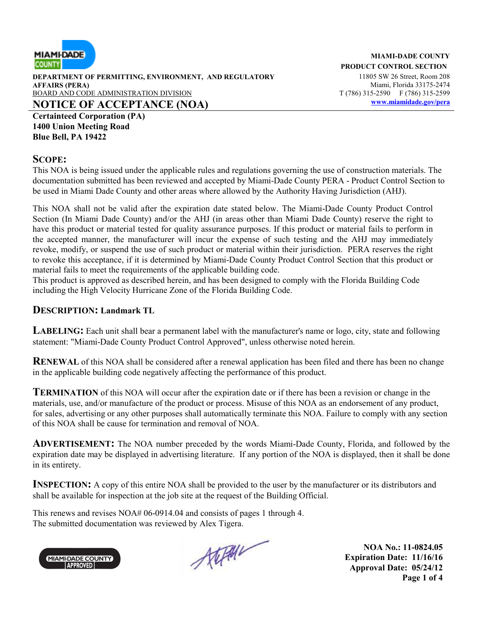

**DEPARTMENT OF PERMITTING, ENVIRONMENT, AND REGULATORY** 11805 SW 26 Street, Room 208 **AFFAIRS (PERA)** Miami, Florida 33175-2474 BOARD AND CODE ADMINISTRATION DIVISION T (786) 315-2590 F (786) 315-2599 **NOTICE OF ACCEPTANCE (NOA) www.miamidade.gov/pera**

**Certainteed Corporation (PA) 1400 Union Meeting Road Blue Bell, PA 19422**

## **SCOPE:**

This NOA is being issued under the applicable rules and regulations governing the use of construction materials. The documentation submitted has been reviewed and accepted by Miami-Dade County PERA - Product Control Section to be used in Miami Dade County and other areas where allowed by the Authority Having Jurisdiction (AHJ).

This NOA shall not be valid after the expiration date stated below. The Miami-Dade County Product Control Section (In Miami Dade County) and/or the AHJ (in areas other than Miami Dade County) reserve the right to have this product or material tested for quality assurance purposes. If this product or material fails to perform in the accepted manner, the manufacturer will incur the expense of such testing and the AHJ may immediately revoke, modify, or suspend the use of such product or material within their jurisdiction. PERA reserves the right to revoke this acceptance, if it is determined by Miami-Dade County Product Control Section that this product or material fails to meet the requirements of the applicable building code.

This product is approved as described herein, and has been designed to comply with the Florida Building Code including the High Velocity Hurricane Zone of the Florida Building Code.

## **DESCRIPTION: Landmark TL**

**LABELING:** Each unit shall bear a permanent label with the manufacturer's name or logo, city, state and following statement: "Miami-Dade County Product Control Approved", unless otherwise noted herein.

**RENEWAL** of this NOA shall be considered after a renewal application has been filed and there has been no change in the applicable building code negatively affecting the performance of this product.

**TERMINATION** of this NOA will occur after the expiration date or if there has been a revision or change in the materials, use, and/or manufacture of the product or process. Misuse of this NOA as an endorsement of any product, for sales, advertising or any other purposes shall automatically terminate this NOA. Failure to comply with any section of this NOA shall be cause for termination and removal of NOA.

**ADVERTISEMENT:** The NOA number preceded by the words Miami-Dade County, Florida, and followed by the expiration date may be displayed in advertising literature. If any portion of the NOA is displayed, then it shall be done in its entirety.

**INSPECTION:** A copy of this entire NOA shall be provided to the user by the manufacturer or its distributors and shall be available for inspection at the job site at the request of the Building Official.

This renews and revises NOA# 06-0914.04 and consists of pages 1 through 4. The submitted documentation was reviewed by Alex Tigera.



Atephan

**NOA No.: 11-0824.05 Expiration Date: 11/16/16 Approval Date: 05/24/12 Page 1 of 4**

#### **MIAMI-DADE COUNTY PRODUCT CONTROL SECTION**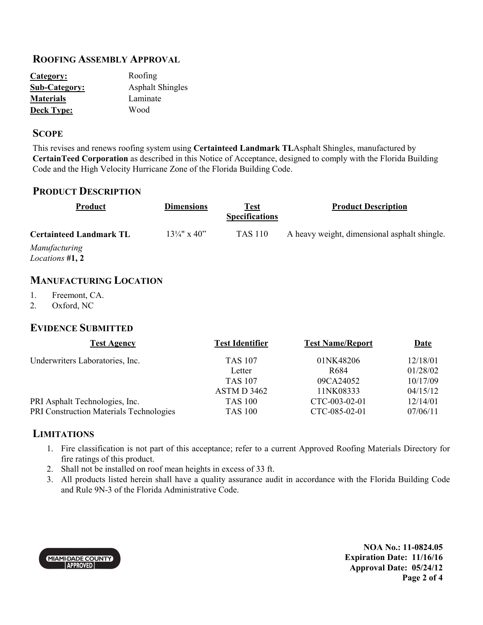## **ROOFING ASSEMBLY APPROVAL**

| Category:            | Roofing                 |
|----------------------|-------------------------|
| <b>Sub-Category:</b> | <b>Asphalt Shingles</b> |
| <b>Materials</b>     | Laminate                |
| <b>Deck Type:</b>    | Wood                    |

#### **SCOPE**

This revises and renews roofing system using **Certainteed Landmark TL**Asphalt Shingles, manufactured by **CertainTeed Corporation** as described in this Notice of Acceptance, designed to comply with the Florida Building Code and the High Velocity Hurricane Zone of the Florida Building Code.

#### **PRODUCT DESCRIPTION**

| <b>Product</b>                            | <b>Dimensions</b>       | Test<br><b>Specifications</b> | <b>Product Description</b>                   |
|-------------------------------------------|-------------------------|-------------------------------|----------------------------------------------|
| <b>Certainteed Landmark TL</b>            | $13\frac{1}{4}$ " x 40" | TAS 110                       | A heavy weight, dimensional asphalt shingle. |
| Manufacturing<br><i>Locations</i> $#1, 2$ |                         |                               |                                              |

## **MANUFACTURING LOCATION**

- 1. Freemont, CA.
- 2. Oxford, NC

# **EVIDENCE SUBMITTED**

| <b>Test Agency</b>                             | <b>Test Identifier</b> | <b>Test Name/Report</b> | <b>Date</b> |
|------------------------------------------------|------------------------|-------------------------|-------------|
| Underwriters Laboratories, Inc.                | <b>TAS 107</b>         | 01NK48206               | 12/18/01    |
|                                                | Letter                 | R <sub>684</sub>        | 01/28/02    |
|                                                | <b>TAS 107</b>         | 09CA24052               | 10/17/09    |
|                                                | ASTM D 3462            | 11NK08333               | 04/15/12    |
| PRI Asphalt Technologies, Inc.                 | <b>TAS 100</b>         | CTC-003-02-01           | 12/14/01    |
| <b>PRI Construction Materials Technologies</b> | <b>TAS 100</b>         | CTC-085-02-01           | 07/06/11    |
|                                                |                        |                         |             |

## **LIMITATIONS**

- 1. Fire classification is not part of this acceptance; refer to a current Approved Roofing Materials Directory for fire ratings of this product.
- 2. Shall not be installed on roof mean heights in excess of 33 ft.
- 3. All products listed herein shall have a quality assurance audit in accordance with the Florida Building Code and Rule 9N-3 of the Florida Administrative Code.



**NOA No.: 11-0824.05 Expiration Date: 11/16/16 Approval Date: 05/24/12 Page 2 of 4**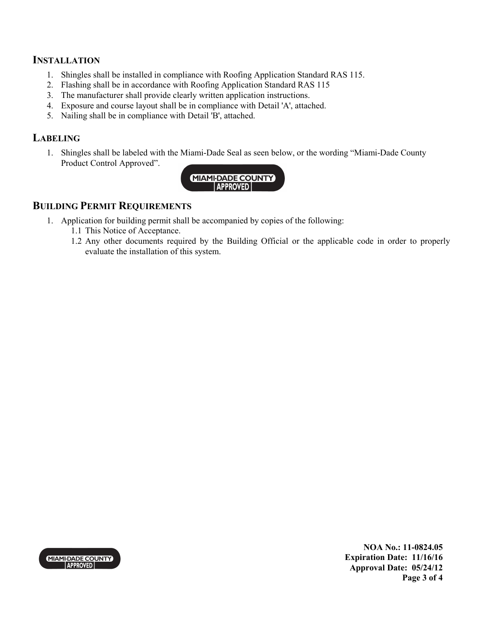# **INSTALLATION**

- 1. Shingles shall be installed in compliance with Roofing Application Standard RAS 115.
- 2. Flashing shall be in accordance with Roofing Application Standard RAS 115
- 3. The manufacturer shall provide clearly written application instructions.
- 4. Exposure and course layout shall be in compliance with Detail 'A', attached.
- 5. Nailing shall be in compliance with Detail 'B', attached.

# **LABELING**

1. Shingles shall be labeled with the Miami-Dade Seal as seen below, or the wording "Miami-Dade County Product Control Approved".



# **BUILDING PERMIT REQUIREMENTS**

- 1. Application for building permit shall be accompanied by copies of the following:
	- 1.1 This Notice of Acceptance.
	- 1.2 Any other documents required by the Building Official or the applicable code in order to properly evaluate the installation of this system.



**NOA No.: 11-0824.05 Expiration Date: 11/16/16 Approval Date: 05/24/12 Page 3 of 4**